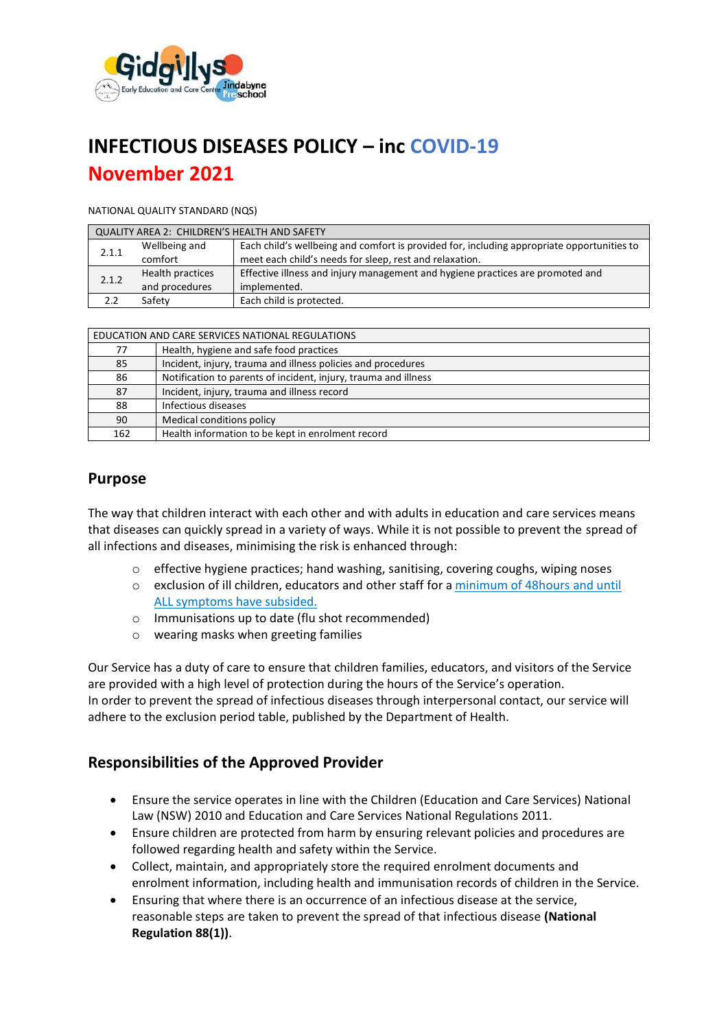

# **INFECTIOUS DISEASES POLICY – inc COVID-19 November 2021**

#### NATIONAL QUALITY STANDARD (NQS)

| <b>QUALITY AREA 2: CHILDREN'S HEALTH AND SAFETY</b> |                  |                                                                                            |  |  |  |
|-----------------------------------------------------|------------------|--------------------------------------------------------------------------------------------|--|--|--|
| 2.1.1                                               | Wellbeing and    | Each child's wellbeing and comfort is provided for, including appropriate opportunities to |  |  |  |
|                                                     | comfort          | meet each child's needs for sleep, rest and relaxation.                                    |  |  |  |
| 2.1.2                                               | Health practices | Effective illness and injury management and hygiene practices are promoted and             |  |  |  |
|                                                     | and procedures   | implemented.                                                                               |  |  |  |
|                                                     | Safety           | Each child is protected.                                                                   |  |  |  |

| 77  | Health, hygiene and safe food practices                         |  |
|-----|-----------------------------------------------------------------|--|
| 85  | Incident, injury, trauma and illness policies and procedures    |  |
| 86  | Notification to parents of incident, injury, trauma and illness |  |
| 87  | Incident, injury, trauma and illness record                     |  |
| 88  | Infectious diseases                                             |  |
| 90  | Medical conditions policy                                       |  |
| 162 | Health information to be kept in enrolment record               |  |

# **Purpose**

The way that children interact with each other and with adults in education and care services means that diseases can quickly spread in a variety of ways. While it is not possible to prevent the spread of all infections and diseases, minimising the risk is enhanced through:

- $\circ$  effective hygiene practices; hand washing, sanitising, covering coughs, wiping noses
- o exclusion of ill children, educators and other staff for a minimum of 48hours and until ALL symptoms have subsided.
- o Immunisations up to date (flu shot recommended)
- o wearing masks when greeting families

Our Service has a duty of care to ensure that children families, educators, and visitors of the Service are provided with a high level of protection during the hours of the Service's operation. In order to prevent the spread of infectious diseases through interpersonal contact, our service will adhere to the exclusion period table, published by the Department of Health.

# **Responsibilities of the Approved Provider**

- Ensure the service operates in line with the Children (Education and Care Services) National Law (NSW) 2010 and Education and Care Services National Regulations 2011.
- Ensure children are protected from harm by ensuring relevant policies and procedures are followed regarding health and safety within the Service.
- Collect, maintain, and appropriately store the required enrolment documents and enrolment information, including health and immunisation records of children in the Service.
- Ensuring that where there is an occurrence of an infectious disease at the service, reasonable steps are taken to prevent the spread of that infectious disease **(National Regulation 88(1))**.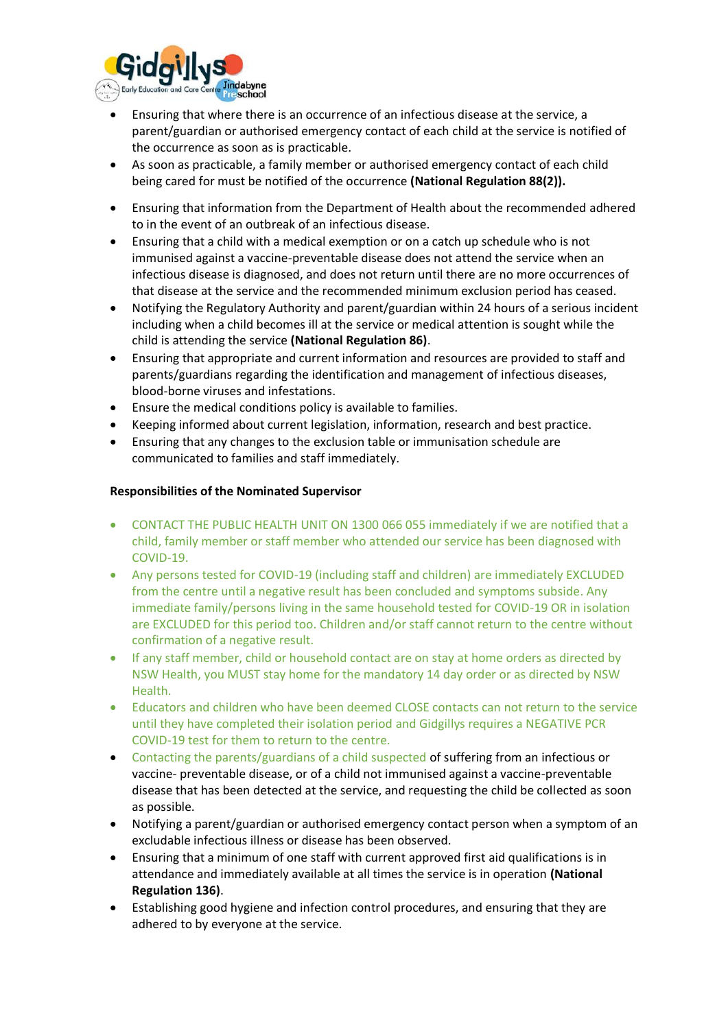

- Ensuring that where there is an occurrence of an infectious disease at the service, a parent/guardian or authorised emergency contact of each child at the service is notified of the occurrence as soon as is practicable.
- As soon as practicable, a family member or authorised emergency contact of each child being cared for must be notified of the occurrence **(National Regulation 88(2)).**
- Ensuring that information from the Department of Health about the recommended adhered to in the event of an outbreak of an infectious disease.
- Ensuring that a child with a medical exemption or on a catch up schedule who is not immunised against a vaccine-preventable disease does not attend the service when an infectious disease is diagnosed, and does not return until there are no more occurrences of that disease at the service and the recommended minimum exclusion period has ceased.
- Notifying the Regulatory Authority and parent/guardian within 24 hours of a serious incident including when a child becomes ill at the service or medical attention is sought while the child is attending the service **(National Regulation 86)**.
- Ensuring that appropriate and current information and resources are provided to staff and parents/guardians regarding the identification and management of infectious diseases, blood-borne viruses and infestations.
- Ensure the medical conditions policy is available to families.
- Keeping informed about current legislation, information, research and best practice.
- Ensuring that any changes to the exclusion table or immunisation schedule are communicated to families and staff immediately.

#### **Responsibilities of the Nominated Supervisor**

- CONTACT THE PUBLIC HEALTH UNIT ON 1300 066 055 immediately if we are notified that a child, family member or staff member who attended our service has been diagnosed with COVID-19.
- Any persons tested for COVID-19 (including staff and children) are immediately EXCLUDED from the centre until a negative result has been concluded and symptoms subside. Any immediate family/persons living in the same household tested for COVID-19 OR in isolation are EXCLUDED for this period too. Children and/or staff cannot return to the centre without confirmation of a negative result.
- If any staff member, child or household contact are on stay at home orders as directed by NSW Health, you MUST stay home for the mandatory 14 day order or as directed by NSW Health.
- Educators and children who have been deemed CLOSE contacts can not return to the service until they have completed their isolation period and Gidgillys requires a NEGATIVE PCR COVID-19 test for them to return to the centre.
- Contacting the parents/guardians of a child suspected of suffering from an infectious or vaccine- preventable disease, or of a child not immunised against a vaccine-preventable disease that has been detected at the service, and requesting the child be collected as soon as possible.
- Notifying a parent/guardian or authorised emergency contact person when a symptom of an excludable infectious illness or disease has been observed.
- Ensuring that a minimum of one staff with current approved first aid qualifications is in attendance and immediately available at all times the service is in operation **(National Regulation 136)**.
- Establishing good hygiene and infection control procedures, and ensuring that they are adhered to by everyone at the service.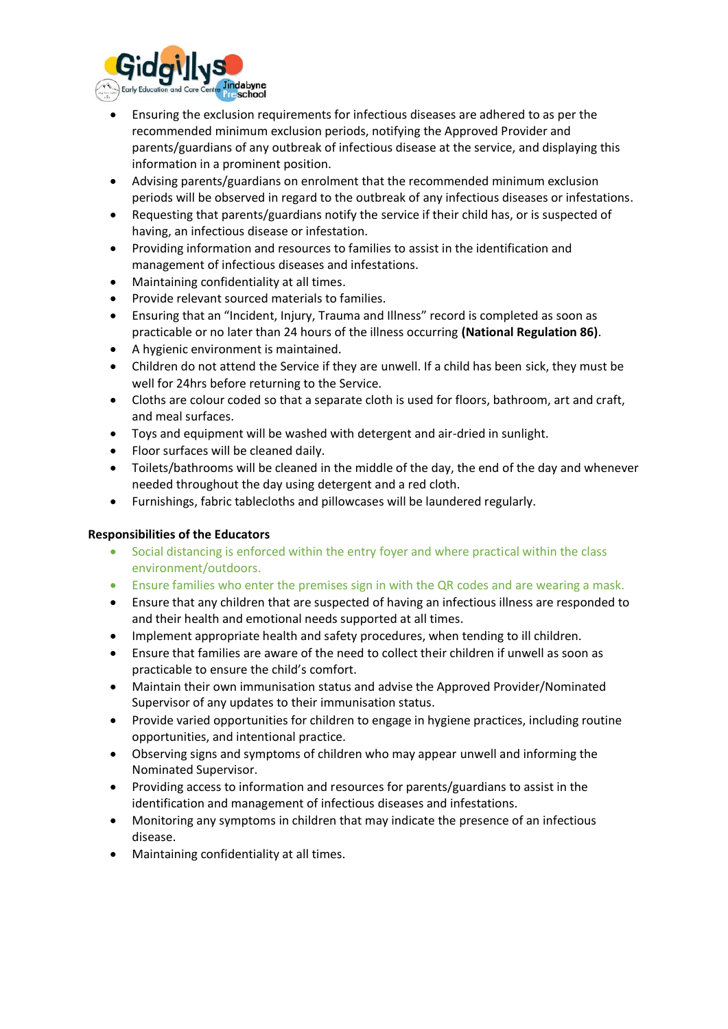

- Ensuring the exclusion requirements for infectious diseases are adhered to as per the recommended minimum exclusion periods, notifying the Approved Provider and parents/guardians of any outbreak of infectious disease at the service, and displaying this information in a prominent position.
- Advising parents/guardians on enrolment that the recommended minimum exclusion periods will be observed in regard to the outbreak of any infectious diseases or infestations.
- Requesting that parents/guardians notify the service if their child has, or is suspected of having, an infectious disease or infestation.
- Providing information and resources to families to assist in the identification and management of infectious diseases and infestations.
- Maintaining confidentiality at all times.
- Provide relevant sourced materials to families.
- Ensuring that an "Incident, Injury, Trauma and Illness" record is completed as soon as practicable or no later than 24 hours of the illness occurring **(National Regulation 86)**.
- A hygienic environment is maintained.
- Children do not attend the Service if they are unwell. If a child has been sick, they must be well for 24hrs before returning to the Service.
- Cloths are colour coded so that a separate cloth is used for floors, bathroom, art and craft, and meal surfaces.
- Toys and equipment will be washed with detergent and air-dried in sunlight.
- Floor surfaces will be cleaned daily.
- Toilets/bathrooms will be cleaned in the middle of the day, the end of the day and whenever needed throughout the day using detergent and a red cloth.
- Furnishings, fabric tablecloths and pillowcases will be laundered regularly.

## **Responsibilities of the Educators**

- Social distancing is enforced within the entry foyer and where practical within the class environment/outdoors.
- Ensure families who enter the premises sign in with the QR codes and are wearing a mask.
- Ensure that any children that are suspected of having an infectious illness are responded to and their health and emotional needs supported at all times.
- Implement appropriate health and safety procedures, when tending to ill children.
- Ensure that families are aware of the need to collect their children if unwell as soon as practicable to ensure the child's comfort.
- Maintain their own immunisation status and advise the Approved Provider/Nominated Supervisor of any updates to their immunisation status.
- Provide varied opportunities for children to engage in hygiene practices, including routine opportunities, and intentional practice.
- Observing signs and symptoms of children who may appear unwell and informing the Nominated Supervisor.
- Providing access to information and resources for parents/guardians to assist in the identification and management of infectious diseases and infestations.
- Monitoring any symptoms in children that may indicate the presence of an infectious disease.
- Maintaining confidentiality at all times.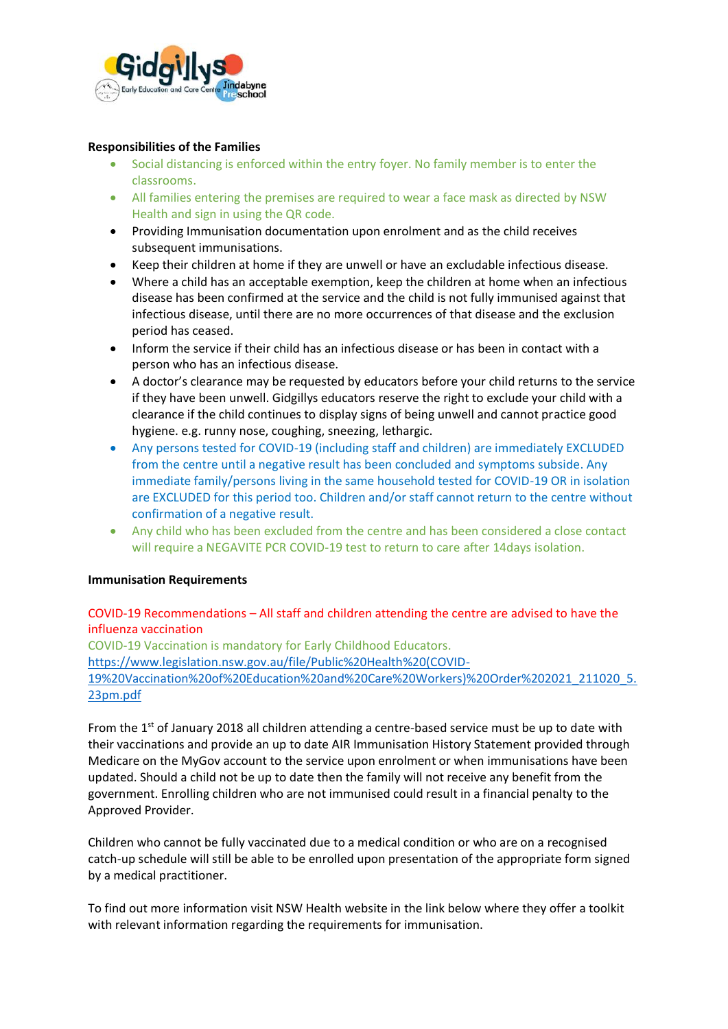

#### **Responsibilities of the Families**

- Social distancing is enforced within the entry foyer. No family member is to enter the classrooms.
- All families entering the premises are required to wear a face mask as directed by NSW Health and sign in using the QR code.
- Providing Immunisation documentation upon enrolment and as the child receives subsequent immunisations.
- Keep their children at home if they are unwell or have an excludable infectious disease.
- Where a child has an acceptable exemption, keep the children at home when an infectious disease has been confirmed at the service and the child is not fully immunised against that infectious disease, until there are no more occurrences of that disease and the exclusion period has ceased.
- Inform the service if their child has an infectious disease or has been in contact with a person who has an infectious disease.
- A doctor's clearance may be requested by educators before your child returns to the service if they have been unwell. Gidgillys educators reserve the right to exclude your child with a clearance if the child continues to display signs of being unwell and cannot practice good hygiene. e.g. runny nose, coughing, sneezing, lethargic.
- Any persons tested for COVID-19 (including staff and children) are immediately EXCLUDED from the centre until a negative result has been concluded and symptoms subside. Any immediate family/persons living in the same household tested for COVID-19 OR in isolation are EXCLUDED for this period too. Children and/or staff cannot return to the centre without confirmation of a negative result.
- Any child who has been excluded from the centre and has been considered a close contact will require a NEGAVITE PCR COVID-19 test to return to care after 14days isolation.

#### **Immunisation Requirements**

## COVID-19 Recommendations – All staff and children attending the centre are advised to have the influenza vaccination

COVID-19 Vaccination is mandatory for Early Childhood Educators. [https://www.legislation.nsw.gov.au/file/Public%20Health%20\(COVID-](https://www.legislation.nsw.gov.au/file/Public%20Health%20(COVID-19%20Vaccination%20of%20Education%20and%20Care%20Workers)%20Order%202021_211020_5.23pm.pdf)[19%20Vaccination%20of%20Education%20and%20Care%20Workers\)%20Order%202021\\_211020\\_5.](https://www.legislation.nsw.gov.au/file/Public%20Health%20(COVID-19%20Vaccination%20of%20Education%20and%20Care%20Workers)%20Order%202021_211020_5.23pm.pdf) [23pm.pdf](https://www.legislation.nsw.gov.au/file/Public%20Health%20(COVID-19%20Vaccination%20of%20Education%20and%20Care%20Workers)%20Order%202021_211020_5.23pm.pdf)

From the 1<sup>st</sup> of January 2018 all children attending a centre-based service must be up to date with their vaccinations and provide an up to date AIR Immunisation History Statement provided through Medicare on the MyGov account to the service upon enrolment or when immunisations have been updated. Should a child not be up to date then the family will not receive any benefit from the government. Enrolling children who are not immunised could result in a financial penalty to the Approved Provider.

Children who cannot be fully vaccinated due to a medical condition or who are on a recognised catch-up schedule will still be able to be enrolled upon presentation of the appropriate form signed by a medical practitioner.

To find out more information visit NSW Health website in the link below where they offer a toolkit with relevant information regarding the requirements for immunisation.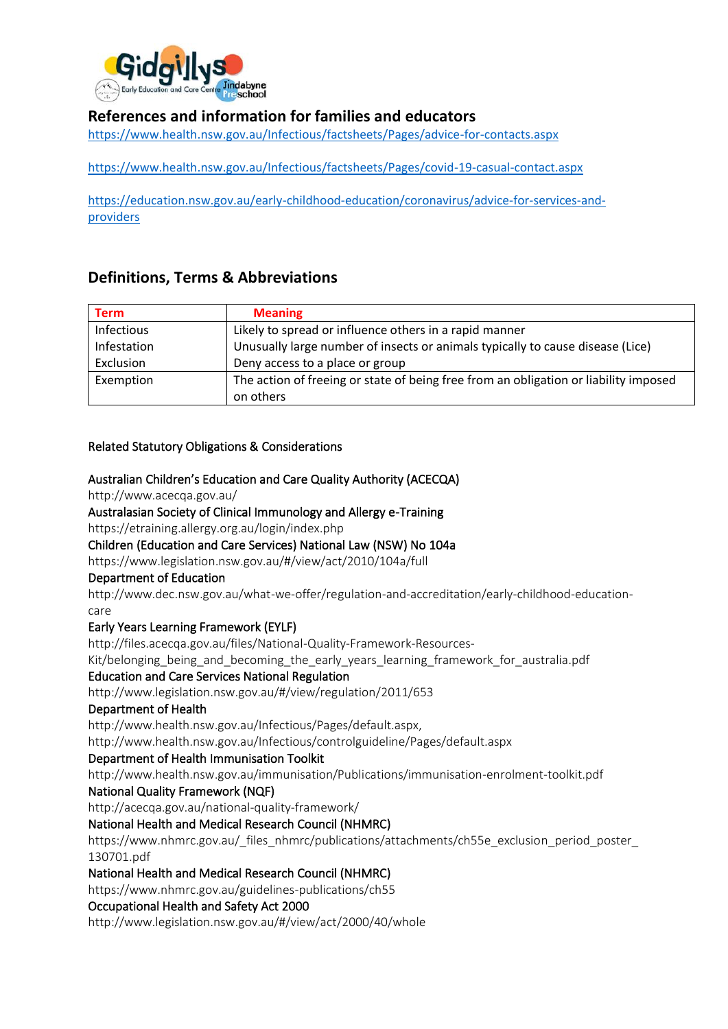

# **References and information for families and educators**

<https://www.health.nsw.gov.au/Infectious/factsheets/Pages/advice-for-contacts.aspx>

<https://www.health.nsw.gov.au/Infectious/factsheets/Pages/covid-19-casual-contact.aspx>

[https://education.nsw.gov.au/early-childhood-education/coronavirus/advice-for-services-and](https://education.nsw.gov.au/early-childhood-education/coronavirus/advice-for-services-and-providers)[providers](https://education.nsw.gov.au/early-childhood-education/coronavirus/advice-for-services-and-providers)

# **Definitions, Terms & Abbreviations**

| <b>Term</b>       | <b>Meaning</b>                                                                       |
|-------------------|--------------------------------------------------------------------------------------|
| <b>Infectious</b> | Likely to spread or influence others in a rapid manner                               |
| Infestation       | Unusually large number of insects or animals typically to cause disease (Lice)       |
| Exclusion         | Deny access to a place or group                                                      |
| Exemption         | The action of freeing or state of being free from an obligation or liability imposed |
|                   | on others                                                                            |

## Related Statutory Obligations & Considerations

#### Australian Children's Education and Care Quality Authority (ACECQA)

http://www.acecqa.gov.au/

#### Australasian Society of Clinical Immunology and Allergy e-Training

https://etraining.allergy.org.au/login/index.php

#### Children (Education and Care Services) National Law (NSW) No 104a

https://www.legislation.nsw.gov.au/#/view/act/2010/104a/full

#### Department of Education

http://www.dec.nsw.gov.au/what-we-offer/regulation-and-accreditation/early-childhood-educationcare

## Early Years Learning Framework (EYLF)

http://files.acecqa.gov.au/files/National-Quality-Framework-Resources-

Kit/belonging\_being\_and\_becoming\_the\_early\_years\_learning\_framework\_for\_australia.pdf

#### Education and Care Services National Regulation

http://www.legislation.nsw.gov.au/#/view/regulation/2011/653

#### Department of Health

http://www.health.nsw.gov.au/Infectious/Pages/default.aspx,

http://www.health.nsw.gov.au/Infectious/controlguideline/Pages/default.aspx

#### Department of Health Immunisation Toolkit

http://www.health.nsw.gov.au/immunisation/Publications/immunisation-enrolment-toolkit.pdf

#### National Quality Framework (NQF)

http://acecqa.gov.au/national-quality-framework/

## National Health and Medical Research Council (NHMRC)

https://www.nhmrc.gov.au/\_files\_nhmrc/publications/attachments/ch55e\_exclusion\_period\_poster\_ 130701.pdf

## National Health and Medical Research Council (NHMRC)

https://www.nhmrc.gov.au/guidelines-publications/ch55

## Occupational Health and Safety Act 2000

http://www.legislation.nsw.gov.au/#/view/act/2000/40/whole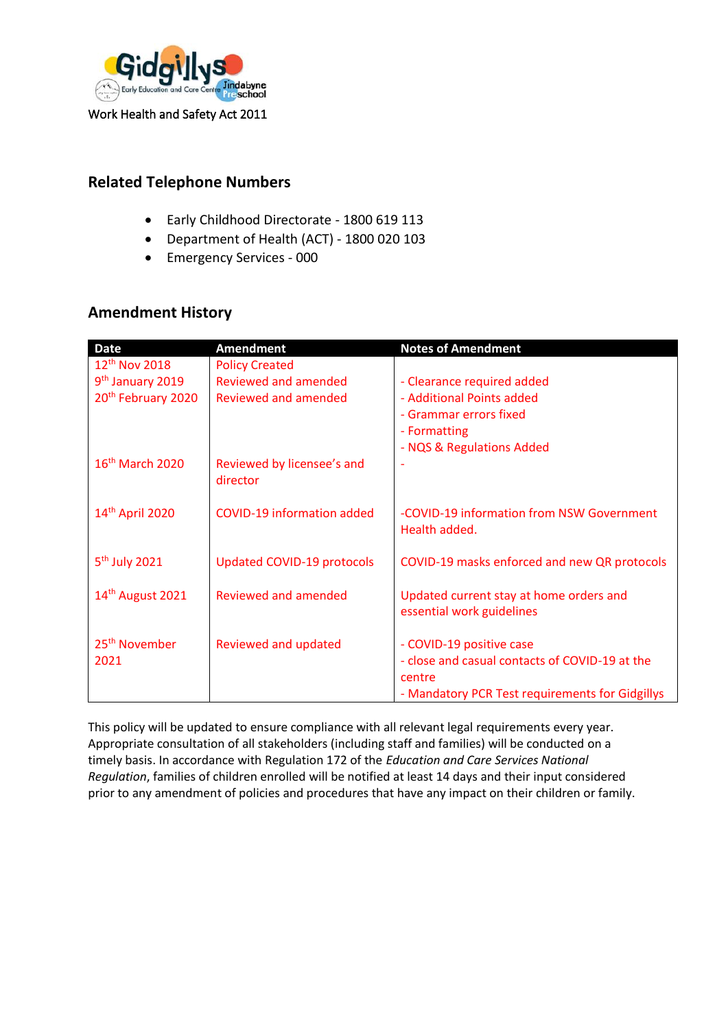

Work Health and Safety Act 2011

# **Related Telephone Numbers**

- Early Childhood Directorate 1800 619 113
- Department of Health (ACT) 1800 020 103
- Emergency Services 000

# **Amendment History**

| <b>Date</b>                    | <b>Amendment</b>                       | <b>Notes of Amendment</b>                                            |
|--------------------------------|----------------------------------------|----------------------------------------------------------------------|
| 12 <sup>th</sup> Nov 2018      | <b>Policy Created</b>                  |                                                                      |
| 9 <sup>th</sup> January 2019   | Reviewed and amended                   | - Clearance required added                                           |
| 20 <sup>th</sup> February 2020 | Reviewed and amended                   | - Additional Points added                                            |
|                                |                                        | - Grammar errors fixed                                               |
|                                |                                        | - Formatting                                                         |
|                                |                                        | - NQS & Regulations Added                                            |
| 16 <sup>th</sup> March 2020    | Reviewed by licensee's and<br>director |                                                                      |
| 14 <sup>th</sup> April 2020    | <b>COVID-19 information added</b>      | -COVID-19 information from NSW Government<br>Health added.           |
| 5 <sup>th</sup> July 2021      | Updated COVID-19 protocols             | COVID-19 masks enforced and new QR protocols                         |
| 14 <sup>th</sup> August 2021   | Reviewed and amended                   | Updated current stay at home orders and<br>essential work guidelines |
| 25 <sup>th</sup> November      | Reviewed and updated                   | - COVID-19 positive case                                             |
| 2021                           |                                        | - close and casual contacts of COVID-19 at the                       |
|                                |                                        | centre                                                               |
|                                |                                        | - Mandatory PCR Test requirements for Gidgillys                      |

This policy will be updated to ensure compliance with all relevant legal requirements every year. Appropriate consultation of all stakeholders (including staff and families) will be conducted on a timely basis. In accordance with Regulation 172 of the *Education and Care Services National Regulation*, families of children enrolled will be notified at least 14 days and their input considered prior to any amendment of policies and procedures that have any impact on their children or family.